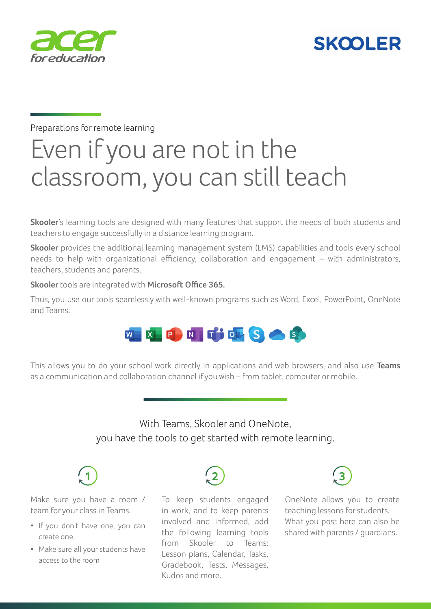



Preparations for remote learning

# Even if you are not in the classroom, you can still teach

**Skooler**'s learning tools are designed with many features that support the needs of both students and teachers to engage successfully in a distance learning program.

**Skooler** provides the additional learning management system (LMS) capabilities and tools every school needs to help with organizational efficiency, collaboration and engagement – with administrators, teachers, students and parents.

**Skooler** tools are integrated with **Microsoft Office 365.**

Thus, you use our tools seamlessly with well-known programs such as Word, Excel, PowerPoint, OneNote and Teams.



This allows you to do your school work directly in applications and web browsers, and also use **Teams** as a communication and collaboration channel if you wish – from tablet, computer or mobile.

> With Teams, Skooler and OneNote, you have the tools to get started with remote learning.



Make sure you have a room / team for your class in Teams.

- If you don't have one, you can create one.
- Make sure all your students have access to the room



To keep students engaged in work, and to keep parents involved and informed, add the following learning tools from Skooler to Teams: Lesson plans, Calendar, Tasks, Gradebook, Tests, Messages, Kudos and more.



OneNote allows you to create teaching lessons for students. What you post here can also be shared with parents / guardians.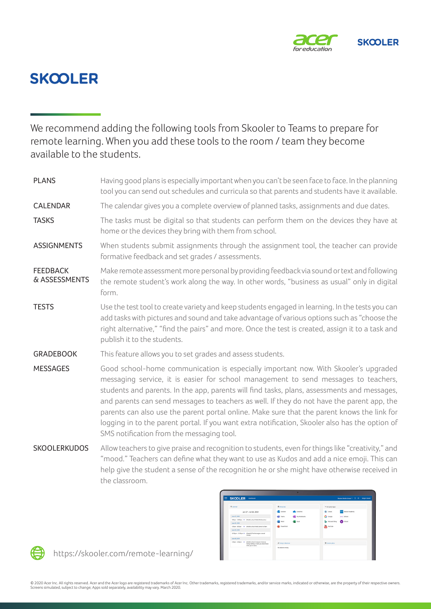

## **SKOOLER**

We recommend adding the following tools from Skooler to Teams to prepare for remote learning. When you add these tools to the room / team they become available to the students.

PLANS Having good plans is especially important when you can't be seen face to face. In the planning tool you can send out schedules and curricula so that parents and students have it available. CALENDAR The calendar gives you a complete overview of planned tasks, assignments and due dates. TASKS TASKS The tasks must be digital so that students can perform them on the devices they have at home or the devices they bring with them from school. ASSIGNMENTS When students submit assignments through the assignment tool, the teacher can provide formative feedback and set grades / assessments. **FFFDBACK** & ASSESSMENTS Make remote assessment more personal by providing feedback via sound or text and following the remote student's work along the way. In other words, "business as usual" only in digital form. TESTS Use the test tool to create variety and keep students engaged in learning. In the tests you can add tasks with pictures and sound and take advantage of various options such as "choose the right alternative," "find the pairs" and more. Once the test is created, assign it to a task and publish it to the students. GRADEBOOK This feature allows you to set grades and assess students. MESSAGES Good school-home communication is especially important now. With Skooler's upgraded messaging service, it is easier for school management to send messages to teachers, students and parents. In the app, parents will find tasks, plans, assessments and messages, and parents can send messages to teachers as well. If they do not have the parent app, the parents can also use the parent portal online. Make sure that the parent knows the link for logging in to the parent portal. If you want extra notification, Skooler also has the option of SMS notification from the messaging tool. SKOOLERKUDOS Allow teachers to give praise and recognition to students, even for things like "creativity," and "mood." Teachers can define what they want to use as Kudos and add a nice emoji. This can help give the student a sense of the recognition he or she might have otherwise received in

| <b>SKOOLER</b><br>Dashboard                                                                                            |                                             | Shooler Middle School V C (B) Megan Bowen |
|------------------------------------------------------------------------------------------------------------------------|---------------------------------------------|-------------------------------------------|
| @ Calendar                                                                                                             | <b>Q</b> Office 165                         | <sup>48</sup> 3rd party Apps              |
| Jun 17 - Jul 16, 2019                                                                                                  | <b>DE Outlook</b><br>OneDrive               | Create<br>Skeoler Academy                 |
| June 17, 2019                                                                                                          | <b>Edit</b> Teams<br><b>CO</b> My Notebooks | G Google<br><b>Mark Kalend</b>            |
| 9.02pm - 10.02pm @ Niddle school Math Mathematics                                                                      | <b>Real</b> Escal<br>Word<br>a.             | <b>Co</b> Yahoo!<br>Morrsok Bing          |
| June 18, 2019                                                                                                          |                                             |                                           |
| 5.05am - 6.05am - @ - (Middle school Math) demo for Bern                                                               | <b>Day PowerPoint</b>                       | <b>Olde</b> YouTube                       |
| June 19, 2019                                                                                                          |                                             |                                           |
| 1035pm - 1135pm *<br>(Grade 8) The Nonvegian coastal<br>climate                                                        |                                             |                                           |
| June 30, 2019                                                                                                          |                                             |                                           |
| INiddle school Computer Science!<br>3.00pm - 4.00pm - 0<br>Doing nothing is hard, you never know.<br>when you're done. | A Today's Absences                          | <b>B</b> Current plans                    |
|                                                                                                                        | No absence today                            |                                           |



https://skooler.com/remote-learning/

the classroom.